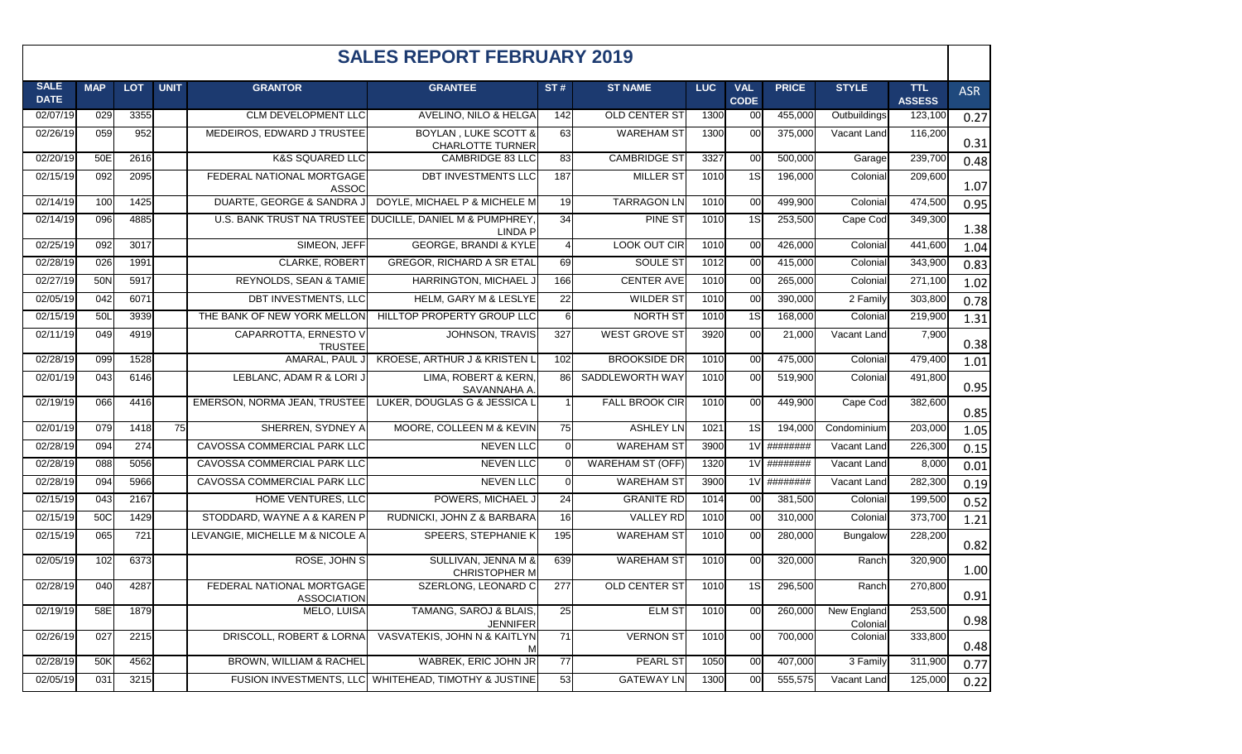|                            | <b>SALES REPORT FEBRUARY 2019</b> |            |             |                                                 |                                                                            |                 |                         |             |                           |               |                         |                             |            |
|----------------------------|-----------------------------------|------------|-------------|-------------------------------------------------|----------------------------------------------------------------------------|-----------------|-------------------------|-------------|---------------------------|---------------|-------------------------|-----------------------------|------------|
| <b>SALE</b><br><b>DATE</b> | <b>MAP</b>                        | <b>LOT</b> | <b>UNIT</b> | <b>GRANTOR</b>                                  | <b>GRANTEE</b>                                                             | ST#             | <b>ST NAME</b>          | <b>LUC</b>  | <b>VAL</b><br><b>CODE</b> | <b>PRICE</b>  | <b>STYLE</b>            | <b>TTL</b><br><b>ASSESS</b> | <b>ASR</b> |
| 02/07/19                   | 029                               | 3355       |             | CLM DEVELOPMENT LLC                             | AVELINO, NILO & HELGA                                                      | 142             | OLD CENTER ST           | 1300        | 00                        | 455,000       | Outbuildings            | 123,100                     | 0.27       |
| 02/26/19                   | 059                               | 952        |             | MEDEIROS, EDWARD J TRUSTEE                      | <b>BOYLAN, LUKE SCOTT &amp;</b><br><b>CHARLOTTE TURNER</b>                 | 63              | <b>WAREHAM ST</b>       | 1300        | 00                        | 375,000       | Vacant Land             | 116,200                     | 0.31       |
| 02/20/19                   | 50E                               | 2616       |             | <b>K&amp;S SQUARED LLC</b>                      | CAMBRIDGE 83 LLC                                                           | 83              | <b>CAMBRIDGE ST</b>     | 3327        | 00                        | 500,000       | Garage                  | 239,700                     | 0.48       |
| 02/15/19                   | 092                               | 2095       |             | FEDERAL NATIONAL MORTGAGE<br><b>ASSOC</b>       | DBT INVESTMENTS LLC                                                        | 187             | <b>MILLER ST</b>        | 1010        | 1S                        | 196,000       | Colonial                | 209,600                     | 1.07       |
| 02/14/19                   | 100                               | 1425       |             | DUARTE, GEORGE & SANDRA J                       | DOYLE, MICHAEL P & MICHELE M                                               | 19              | <b>TARRAGON LN</b>      | 1010        | 00                        | 499,900       | Colonial                | 474,500                     | 0.95       |
| 02/14/19                   | 096                               | 4885       |             |                                                 | U.S. BANK TRUST NA TRUSTEE DUCILLE, DANIEL M & PUMPHREY,<br><b>LINDA P</b> | 34              | <b>PINE ST</b>          | 1010        | $\overline{1S}$           | 253,500       | Cape Cod                | 349,300                     | 1.38       |
| 02/25/19                   | 092                               | 3017       |             | SIMEON, JEFF                                    | <b>GEORGE, BRANDI &amp; KYLE</b>                                           | $\overline{4}$  | LOOK OUT CIR            | 1010        | 00                        | 426,000       | Colonial                | 441,600                     | 1.04       |
| 02/28/19                   | 026                               | 1991       |             | CLARKE, ROBERT                                  | GREGOR, RICHARD A SR ETAL                                                  | 69              | SOULE ST                | 1012        | 00                        | 415,000       | Colonial                | 343,900                     | 0.83       |
| 02/27/19                   | 50N                               | 5917       |             | REYNOLDS, SEAN & TAMIE                          | HARRINGTON, MICHAEL J                                                      | 166             | <b>CENTER AVE</b>       | 1010        | 00                        | 265,000       | Colonial                | 271,100                     | 1.02       |
| 02/05/19                   | 042                               | 6071       |             | DBT INVESTMENTS, LLC                            | <b>HELM, GARY M &amp; LESLYE</b>                                           | $\overline{22}$ | <b>WILDER ST</b>        | 1010        | 00                        | 390,000       | 2 Family                | 303,800                     | 0.78       |
| 02/15/19                   | 50L                               | 3939       |             | THE BANK OF NEW YORK MELLON                     | HILLTOP PROPERTY GROUP LLC                                                 | 6               | NORTH ST                | 1010        | $\overline{1S}$           | 168,000       | Colonial                | 219,900                     | 1.31       |
| 02/11/19                   | 049                               | 4919       |             | CAPARROTTA, ERNESTO V<br><b>TRUSTEE</b>         | <b>JOHNSON, TRAVIS</b>                                                     | 327             | <b>WEST GROVE ST</b>    | 3920        | 00                        | 21,000        | Vacant Land             | 7,900                       | 0.38       |
| 02/28/19                   | 099                               | 1528       |             | AMARAL, PAUL J                                  | KROESE, ARTHUR J & KRISTEN L                                               | 102             | <b>BROOKSIDE DR</b>     | 1010        | 00                        | 475,000       | Colonial                | 479,400                     | 1.01       |
| 02/01/19                   | 043                               | 6146       |             | LEBLANC, ADAM R & LORI J                        | LIMA, ROBERT & KERN,<br>SAVANNAHA A.                                       | 86              | SADDLEWORTH WAY         | <b>1010</b> | 00                        | 519,900       | Colonial                | 491,800                     | 0.95       |
| 02/19/19                   | 066                               | 4416       |             | EMERSON, NORMA JEAN, TRUSTEE                    | LUKER, DOUGLAS G & JESSICA L                                               |                 | <b>FALL BROOK CIR</b>   | 1010        | 00                        | 449,900       | Cape Cod                | 382,600                     | 0.85       |
| 02/01/19                   | 079                               | 1418       | 75          | SHERREN, SYDNEY A                               | MOORE, COLLEEN M & KEVIN                                                   | 75              | <b>ASHLEY LN</b>        | 1021        | 1S                        | 194,000       | Condominium             | 203,000                     | 1.05       |
| 02/28/19                   | 094                               | 274        |             | CAVOSSA COMMERCIAL PARK LLC                     | <b>NEVEN LLC</b>                                                           | $\overline{0}$  | <b>WAREHAM ST</b>       | 3900        | 1 <sub>V</sub>            | ########      | Vacant Land             | 226,300                     | 0.15       |
| 02/28/19                   | 088                               | 5056       |             | CAVOSSA COMMERCIAL PARK LLC                     | <b>NEVEN LLC</b>                                                           | $\Omega$        | <b>WAREHAM ST (OFF)</b> | 1320        | 1 <sub>V</sub>            | ########      | Vacant Land             | 8,000                       | 0.01       |
| 02/28/19                   | 094                               | 5966       |             | CAVOSSA COMMERCIAL PARK LLC                     | <b>NEVEN LLC</b>                                                           | $\overline{0}$  | <b>WAREHAM ST</b>       | 3900        |                           | $1V$ ######## | Vacant Land             | 282,300                     | 0.19       |
| 02/15/19                   | 043                               | 2167       |             | HOME VENTURES, LLC                              | POWERS, MICHAEL J                                                          | 24              | <b>GRANITE RD</b>       | 1014        | 00                        | 381,500       | Colonial                | 199,500                     | 0.52       |
| 02/15/19                   | 50C                               | 1429       |             | STODDARD, WAYNE A & KAREN P                     | RUDNICKI, JOHN Z & BARBARA                                                 | 16              | <b>VALLEY RD</b>        | 1010        | 00                        | 310,000       | Colonial                | 373,700                     | 1.21       |
| 02/15/19                   | 065                               | 721        |             | LEVANGIE, MICHELLE M & NICOLE A                 | SPEERS, STEPHANIE K                                                        | 195             | <b>WAREHAM ST</b>       | 1010        | 00                        | 280,000       | Bungalow                | 228,200                     | 0.82       |
| 02/05/19                   | 102                               | 6373       |             | ROSE, JOHN S                                    | SULLIVAN, JENNA M &<br><b>CHRISTOPHER M</b>                                | 639             | <b>WAREHAM ST</b>       | 1010        | 00                        | 320,000       | Ranch                   | 320,900                     | 1.00       |
| 02/28/19                   | 040                               | 4287       |             | FEDERAL NATIONAL MORTGAGE<br><b>ASSOCIATION</b> | SZERLONG, LEONARD C                                                        | 277             | <b>OLD CENTER ST</b>    | 1010        | 1S                        | 296,500       | Ranch                   | 270,800                     | 0.91       |
| 02/19/19                   | 58E                               | 1879       |             | MELO, LUISA                                     | TAMANG, SAROJ & BLAIS,<br><b>JENNIFER</b>                                  | 25              | <b>ELM ST</b>           | 1010        | 00                        | 260,000       | New England<br>Colonial | 253,500                     | 0.98       |
| 02/26/19                   | 027                               | 2215       |             | DRISCOLL, ROBERT & LORNA                        | VASVATEKIS, JOHN N & KAITLYN                                               | $\overline{71}$ | <b>VERNON ST</b>        | 1010        | 00                        | 700,000       | Colonial                | 333,800                     | 0.48       |
| 02/28/19                   | 50K                               | 4562       |             | BROWN, WILLIAM & RACHEL                         | WABREK, ERIC JOHN JR                                                       | 77              | <b>PEARL ST</b>         | 1050        | 00                        | 407,000       | 3 Family                | 311,900                     | 0.77       |
| 02/05/19                   | 031                               | 3215       |             |                                                 | FUSION INVESTMENTS, LLC WHITEHEAD, TIMOTHY & JUSTINE                       | 53              | <b>GATEWAY LN</b>       | 1300        | 00                        | 555,575       | Vacant Land             | 125,000                     | 0.22       |